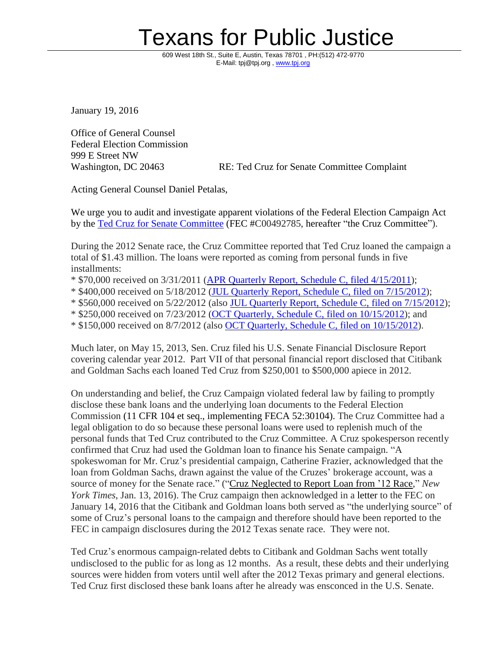## Texans for Public Justice

609 West 18th St., Suite E, Austin, Texas 78701 PH:(512) 472-9770 E-Mail: tpj@tpj.org, [www.tpj.org](http://www.tpj.org/)

January 19, 2016

Office of General Counsel Federal Election Commission 999 E Street NW

Washington, DC 20463 RE: Ted Cruz for Senate Committee Complaint

Acting General Counsel Daniel Petalas,

We urge you to audit and investigate apparent violations of the Federal Election Campaign Act by the Ted Cruz for Senate [Committee](http://docquery.fec.gov/cgi-bin/fecimg/?C00492785) (FEC #C00492785, hereafter "the Cruz Committee").

During the 2012 Senate race, the Cruz Committee reported that Ted Cruz loaned the campaign a total of \$1.43 million. The loans were reported as coming from personal funds in five installments:

\* \$70,000 received on 3/31/2011 (APR Quarterly Report, Schedule C, filed [4/15/2011\)](http://docquery.fec.gov/cgi-bin/paper_forms/C00492785/726535/);

\* \$400,000 received on 5/18/2012 (JUL Quarterly Report, Schedule C, filed on [7/15/2012\)](http://docquery.fec.gov/cgi-bin/paper_forms/C00492785/801968/);

\* \$560,000 received on 5/22/2012 (also JUL Quarterly Report, Schedule C, filed on [7/15/2012\)](http://docquery.fec.gov/cgi-bin/paper_forms/C00492785/801968/);

\* \$250,000 received on 7/23/2012 (OCT Quarterly, Schedule C, filed on [10/15/2012\)](http://docquery.fec.gov/cgi-bin/paper_forms/C00492785/833653/); and

\* \$150,000 received on 8/7/2012 (also OCT Quarterly, Schedule C, filed on [10/15/2012\)](http://docquery.fec.gov/cgi-bin/paper_forms/C00492785/833653/).

Much later, on May 15, 2013, Sen. Cruz filed his U.S. Senate Financial Disclosure Report covering calendar year 2012. Part VII of that personal financial report disclosed that Citibank and Goldman Sachs each loaned Ted Cruz from \$250,001 to \$500,000 apiece in 2012.

On understanding and belief, the Cruz Campaign violated federal law by failing to promptly disclose these bank loans and the underlying loan documents to the Federal Election Commission (11 CFR 104 et seq., implementing FECA 52:30104). The Cruz Committee had a legal obligation to do so because these personal loans were used to replenish much of the personal funds that Ted Cruz contributed to the Cruz Committee. A Cruz spokesperson recently confirmed that Cruz had used the Goldman loan to finance his Senate campaign. "A spokeswoman for Mr. Cruz's presidential campaign, Catherine Frazier, acknowledged that the loan from Goldman Sachs, drawn against the value of the Cruzes' brokerage account, was a source of money for the Senate race." ("Cruz [Neglected](http://www.nytimes.com/2016/01/14/us/politics/ted-cruz-wall-street-loan-senate-bid-2012.html?_r=0) to Report Loan from '12 Race," *New York Times*, Jan. 13, 2016). The Cruz campaign then acknowledged in a [letter](http://docquery.fec.gov/pdf/722/201601140200001722/201601140200001722.pdf#navpanes=0) to the FEC on January 14, 2016 that the Citibank and Goldman loans both served as "the underlying source" of some of Cruz's personal loans to the campaign and therefore should have been reported to the FEC in campaign disclosures during the 2012 Texas senate race. They were not.

Ted Cruz's enormous campaign-related debts to Citibank and Goldman Sachs went totally undisclosed to the public for as long as 12 months. As a result, these debts and their underlying sources were hidden from voters until well after the 2012 Texas primary and general elections. Ted Cruz first disclosed these bank loans after he already was ensconced in the U.S. Senate.